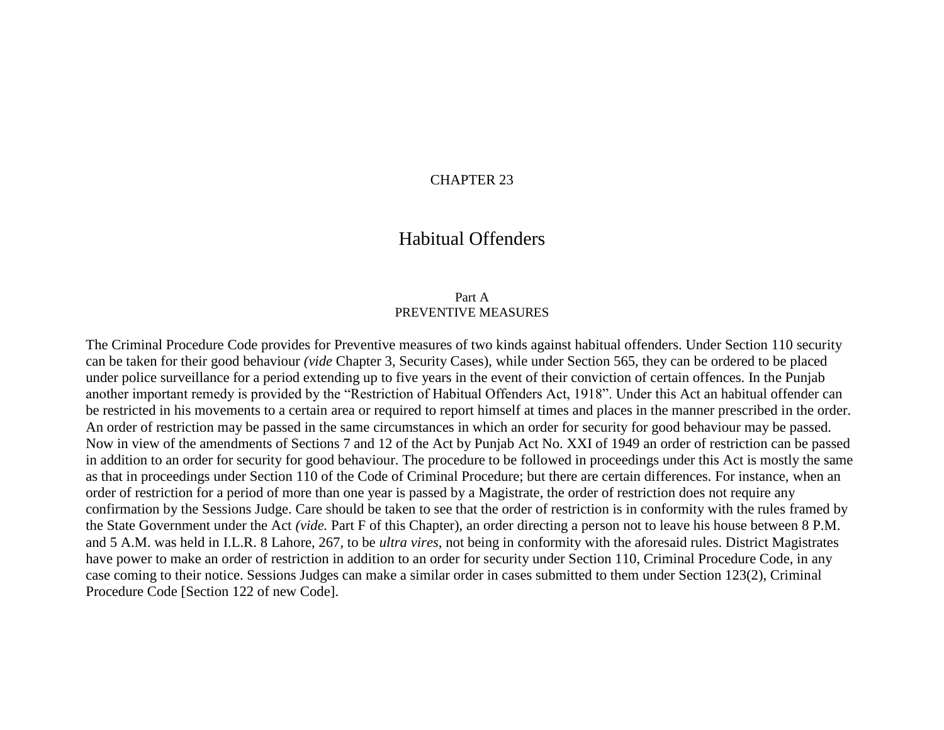#### CHAPTER 23

# Habitual Offenders

#### Part A PREVENTIVE MEASURES

The Criminal Procedure Code provides for Preventive measures of two kinds against habitual offenders. Under Section 110 security can be taken for their good behaviour *(vide* Chapter 3, Security Cases), while under Section 565, they can be ordered to be placed under police surveillance for a period extending up to five years in the event of their conviction of certain offences. In the Punjab another important remedy is provided by the "Restriction of Habitual Offenders Act, 1918". Under this Act an habitual offender can be restricted in his movements to a certain area or required to report himself at times and places in the manner prescribed in the order. An order of restriction may be passed in the same circumstances in which an order for security for good behaviour may be passed. Now in view of the amendments of Sections 7 and 12 of the Act by Punjab Act No. XXI of 1949 an order of restriction can be passed in addition to an order for security for good behaviour. The procedure to be followed in proceedings under this Act is mostly the same as that in proceedings under Section 110 of the Code of Criminal Procedure; but there are certain differences. For instance, when an order of restriction for a period of more than one year is passed by a Magistrate, the order of restriction does not require any confirmation by the Sessions Judge. Care should be taken to see that the order of restriction is in conformity with the rules framed by the State Government under the Act *(vide.* Part F of this Chapter), an order directing a person not to leave his house between 8 P.M. and 5 A.M. was held in I.L.R. 8 Lahore, 267, to be *ultra vires*, not being in conformity with the aforesaid rules. District Magistrates have power to make an order of restriction in addition to an order for security under Section 110, Criminal Procedure Code, in any case coming to their notice. Sessions Judges can make a similar order in cases submitted to them under Section 123(2), Criminal Procedure Code [Section 122 of new Code].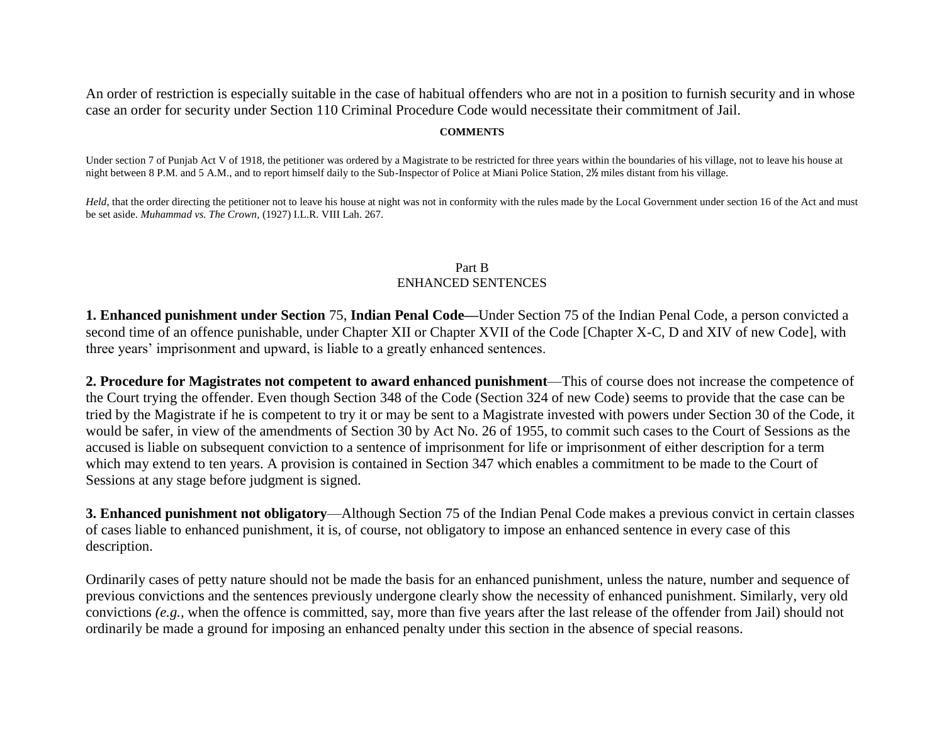An order of restriction is especially suitable in the case of habitual offenders who are not in a position to furnish security and in whose case an order for security under Section 110 Criminal Procedure Code would necessitate their commitment of Jail.

#### **COMMENTS**

Under section 7 of Punjab Act V of 1918, the petitioner was ordered by a Magistrate to be restricted for three years within the boundaries of his village, not to leave his house at night between 8 P.M. and 5 A.M., and to report himself daily to the Sub-Inspector of Police at Miani Police Station, 2½ miles distant from his village.

*Held*, that the order directing the petitioner not to leave his house at night was not in conformity with the rules made by the Local Government under section 16 of the Act and must be set aside. *Muhammad vs. The Crown,* (1927) I.L.R. VIII Lah. 267.

#### Part B ENHANCED SENTENCES

**1. Enhanced punishment under Section** 75, **Indian Penal Code—**Under Section 75 of the Indian Penal Code, a person convicted a second time of an offence punishable, under Chapter XII or Chapter XVII of the Code [Chapter X-C, D and XIV of new Code], with three years' imprisonment and upward, is liable to a greatly enhanced sentences.

**2. Procedure for Magistrates not competent to award enhanced punishment**—This of course does not increase the competence of the Court trying the offender. Even though Section 348 of the Code (Section 324 of new Code) seems to provide that the case can be tried by the Magistrate if he is competent to try it or may be sent to a Magistrate invested with powers under Section 30 of the Code, it would be safer, in view of the amendments of Section 30 by Act No. 26 of 1955, to commit such cases to the Court of Sessions as the accused is liable on subsequent conviction to a sentence of imprisonment for life or imprisonment of either description for a term which may extend to ten years. A provision is contained in Section 347 which enables a commitment to be made to the Court of Sessions at any stage before judgment is signed.

**3. Enhanced punishment not obligatory**—Although Section 75 of the Indian Penal Code makes a previous convict in certain classes of cases liable to enhanced punishment, it is, of course, not obligatory to impose an enhanced sentence in every case of this description.

Ordinarily cases of petty nature should not be made the basis for an enhanced punishment, unless the nature, number and sequence of previous convictions and the sentences previously undergone clearly show the necessity of enhanced punishment. Similarly, very old convictions *(e.g.,* when the offence is committed, say, more than five years after the last release of the offender from Jail) should not ordinarily be made a ground for imposing an enhanced penalty under this section in the absence of special reasons.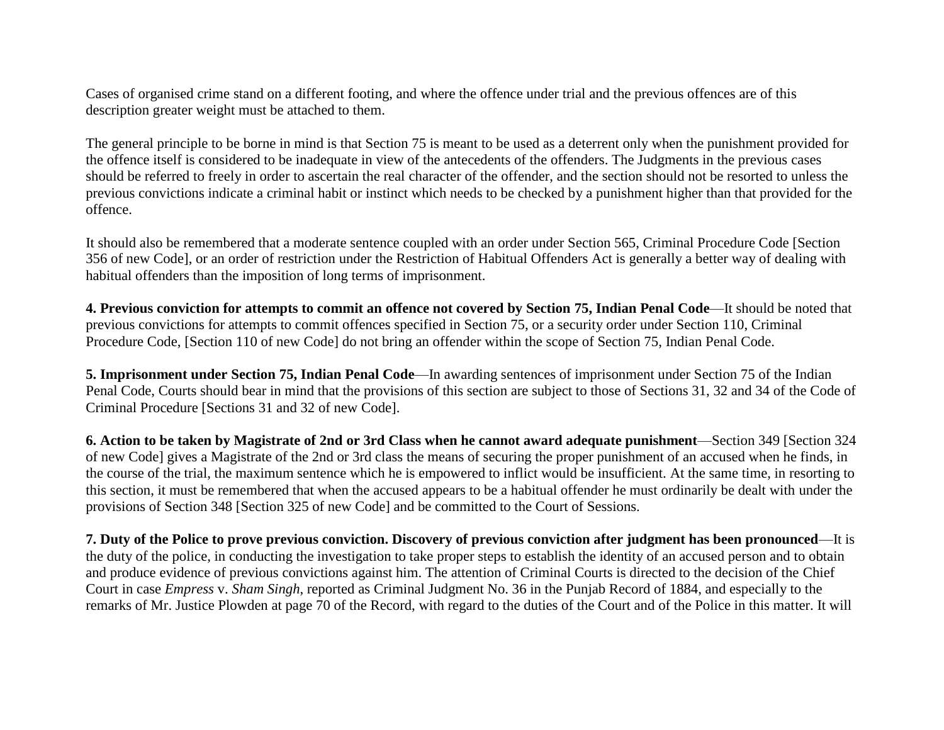Cases of organised crime stand on a different footing, and where the offence under trial and the previous offences are of this description greater weight must be attached to them.

The general principle to be borne in mind is that Section 75 is meant to be used as a deterrent only when the punishment provided for the offence itself is considered to be inadequate in view of the antecedents of the offenders. The Judgments in the previous cases should be referred to freely in order to ascertain the real character of the offender, and the section should not be resorted to unless the previous convictions indicate a criminal habit or instinct which needs to be checked by a punishment higher than that provided for the offence.

It should also be remembered that a moderate sentence coupled with an order under Section 565, Criminal Procedure Code [Section 356 of new Code], or an order of restriction under the Restriction of Habitual Offenders Act is generally a better way of dealing with habitual offenders than the imposition of long terms of imprisonment.

**4. Previous conviction for attempts to commit an offence not covered by Section 75, Indian Penal Code**—It should be noted that previous convictions for attempts to commit offences specified in Section 75, or a security order under Section 110, Criminal Procedure Code, [Section 110 of new Code] do not bring an offender within the scope of Section 75, Indian Penal Code.

**5. Imprisonment under Section 75, Indian Penal Code**—In awarding sentences of imprisonment under Section 75 of the Indian Penal Code, Courts should bear in mind that the provisions of this section are subject to those of Sections 31, 32 and 34 of the Code of Criminal Procedure [Sections 31 and 32 of new Code].

**6. Action to be taken by Magistrate of 2nd or 3rd Class when he cannot award adequate punishment**—Section 349 [Section 324 of new Code] gives a Magistrate of the 2nd or 3rd class the means of securing the proper punishment of an accused when he finds, in the course of the trial, the maximum sentence which he is empowered to inflict would be insufficient. At the same time, in resorting to this section, it must be remembered that when the accused appears to be a habitual offender he must ordinarily be dealt with under the provisions of Section 348 [Section 325 of new Code] and be committed to the Court of Sessions.

**7. Duty of the Police to prove previous conviction. Discovery of previous conviction after judgment has been pronounced**—It is the duty of the police, in conducting the investigation to take proper steps to establish the identity of an accused person and to obtain and produce evidence of previous convictions against him. The attention of Criminal Courts is directed to the decision of the Chief Court in case *Empress* v. *Sham Singh*, reported as Criminal Judgment No. 36 in the Punjab Record of 1884, and especially to the remarks of Mr. Justice Plowden at page 70 of the Record, with regard to the duties of the Court and of the Police in this matter. It will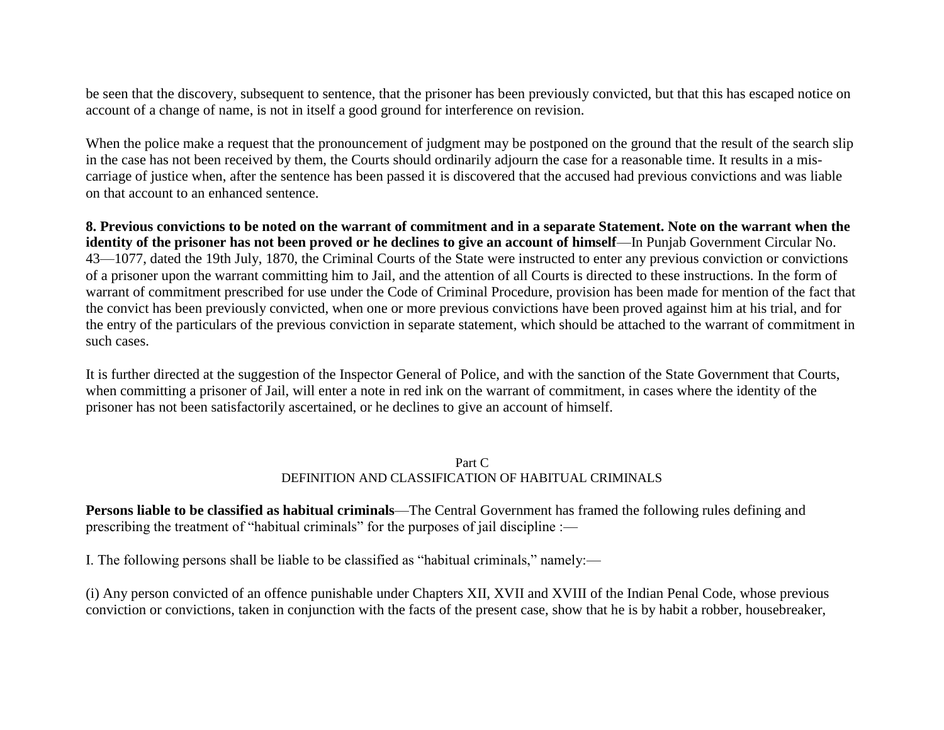be seen that the discovery, subsequent to sentence, that the prisoner has been previously convicted, but that this has escaped notice on account of a change of name, is not in itself a good ground for interference on revision.

When the police make a request that the pronouncement of judgment may be postponed on the ground that the result of the search slip in the case has not been received by them, the Courts should ordinarily adjourn the case for a reasonable time. It results in a miscarriage of justice when, after the sentence has been passed it is discovered that the accused had previous convictions and was liable on that account to an enhanced sentence.

**8. Previous convictions to be noted on the warrant of commitment and in a separate Statement. Note on the warrant when the identity of the prisoner has not been proved or he declines to give an account of himself—In Punjab Government Circular No.** 43—1077, dated the 19th July, 1870, the Criminal Courts of the State were instructed to enter any previous conviction or convictions of a prisoner upon the warrant committing him to Jail, and the attention of all Courts is directed to these instructions. In the form of warrant of commitment prescribed for use under the Code of Criminal Procedure, provision has been made for mention of the fact that the convict has been previously convicted, when one or more previous convictions have been proved against him at his trial, and for the entry of the particulars of the previous conviction in separate statement, which should be attached to the warrant of commitment in such cases.

It is further directed at the suggestion of the Inspector General of Police, and with the sanction of the State Government that Courts, when committing a prisoner of Jail, will enter a note in red ink on the warrant of commitment, in cases where the identity of the prisoner has not been satisfactorily ascertained, or he declines to give an account of himself.

#### Part C DEFINITION AND CLASSIFICATION OF HABITUAL CRIMINALS

**Persons liable to be classified as habitual criminals**—The Central Government has framed the following rules defining and prescribing the treatment of "habitual criminals" for the purposes of jail discipline :—

I. The following persons shall be liable to be classified as "habitual criminals," namely:—

(i) Any person convicted of an offence punishable under Chapters XII, XVII and XVIII of the Indian Penal Code, whose previous conviction or convictions, taken in conjunction with the facts of the present case, show that he is by habit a robber, housebreaker,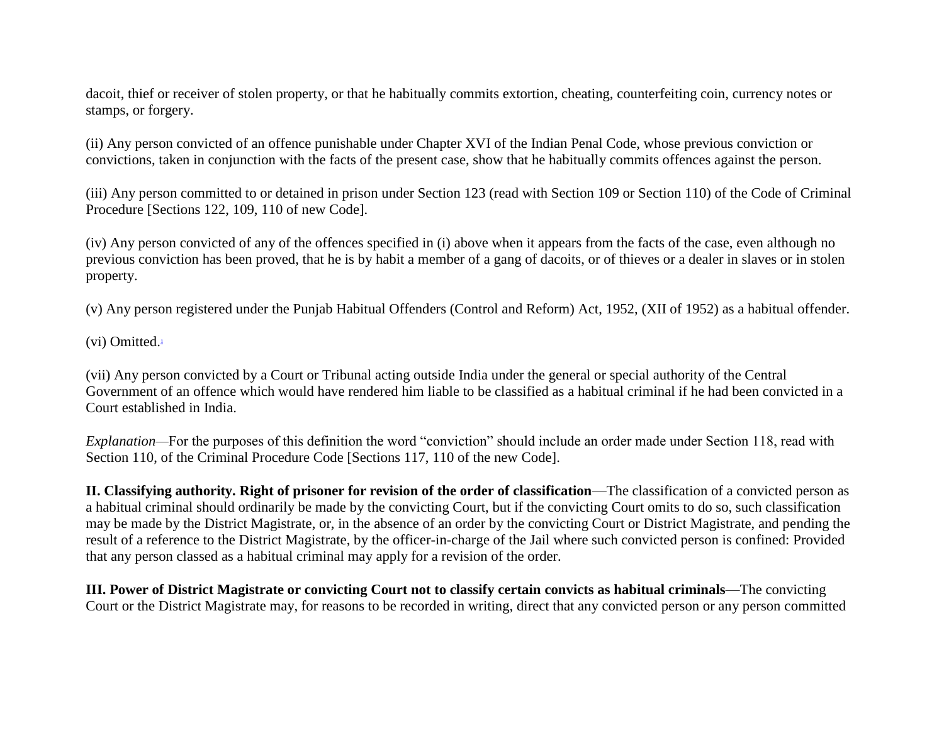dacoit, thief or receiver of stolen property, or that he habitually commits extortion, cheating, counterfeiting coin, currency notes or stamps, or forgery.

(ii) Any person convicted of an offence punishable under Chapter XVI of the Indian Penal Code, whose previous conviction or convictions, taken in conjunction with the facts of the present case, show that he habitually commits offences against the person.

(iii) Any person committed to or detained in prison under Section 123 (read with Section 109 or Section 110) of the Code of Criminal Procedure [Sections 122, 109, 110 of new Code].

(iv) Any person convicted of any of the offences specified in (i) above when it appears from the facts of the case, even although no previous conviction has been proved, that he is by habit a member of a gang of dacoits, or of thieves or a dealer in slaves or in stolen property.

(v) Any person registered under the Punjab Habitual Offenders (Control and Reform) Act, 1952, (XII of 1952) as a habitual offender.

(vi) Omitted[.](file:///D:\rtirules\Vol.3\Part3Chapter23.html%23sdfootnote1sym)<sup>1</sup>

(vii) Any person convicted by a Court or Tribunal acting outside India under the general or special authority of the Central Government of an offence which would have rendered him liable to be classified as a habitual criminal if he had been convicted in a Court established in India.

*Explanation—*For the purposes of this definition the word "conviction" should include an order made under Section 118, read with Section 110, of the Criminal Procedure Code [Sections 117, 110 of the new Code].

**II. Classifying authority. Right of prisoner for revision of the order of classification**—The classification of a convicted person as a habitual criminal should ordinarily be made by the convicting Court, but if the convicting Court omits to do so, such classification may be made by the District Magistrate, or, in the absence of an order by the convicting Court or District Magistrate, and pending the result of a reference to the District Magistrate, by the officer-in-charge of the Jail where such convicted person is confined: Provided that any person classed as a habitual criminal may apply for a revision of the order.

**III. Power of District Magistrate or convicting Court not to classify certain convicts as habitual criminals**—The convicting Court or the District Magistrate may, for reasons to be recorded in writing, direct that any convicted person or any person committed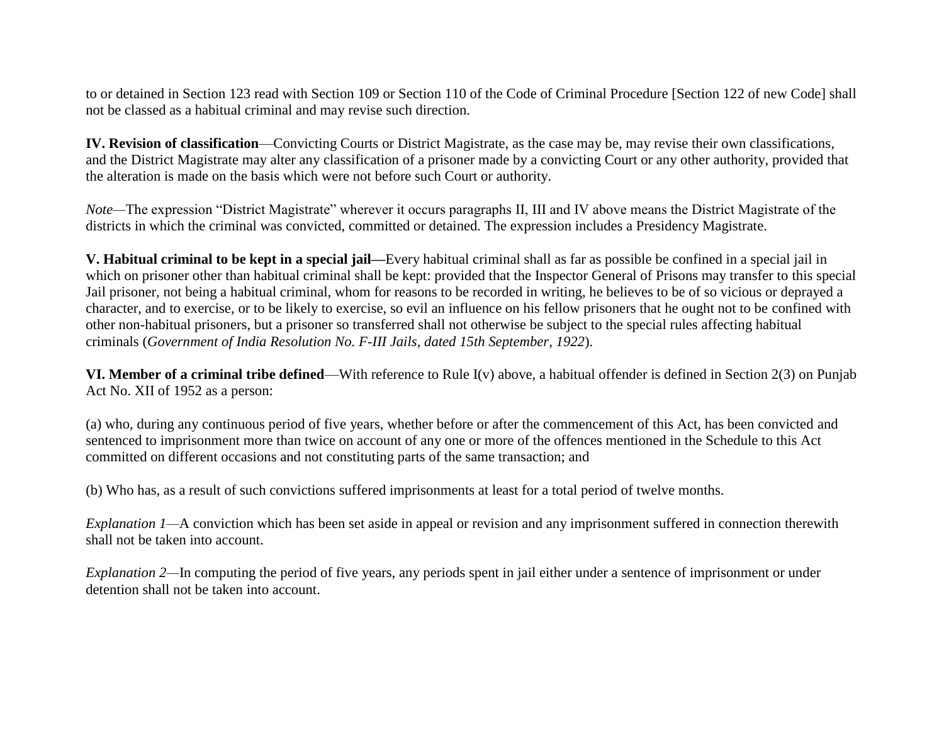to or detained in Section 123 read with Section 109 or Section 110 of the Code of Criminal Procedure [Section 122 of new Code] shall not be classed as a habitual criminal and may revise such direction.

**IV. Revision of classification**—Convicting Courts or District Magistrate, as the case may be, may revise their own classifications, and the District Magistrate may alter any classification of a prisoner made by a convicting Court or any other authority, provided that the alteration is made on the basis which were not before such Court or authority.

*Note—*The expression "District Magistrate" wherever it occurs paragraphs II, III and IV above means the District Magistrate of the districts in which the criminal was convicted, committed or detained. The expression includes a Presidency Magistrate.

**V. Habitual criminal to be kept in a special jail—**Every habitual criminal shall as far as possible be confined in a special jail in which on prisoner other than habitual criminal shall be kept: provided that the Inspector General of Prisons may transfer to this special Jail prisoner, not being a habitual criminal, whom for reasons to be recorded in writing, he believes to be of so vicious or deprayed a character, and to exercise, or to be likely to exercise, so evil an influence on his fellow prisoners that he ought not to be confined with other non-habitual prisoners, but a prisoner so transferred shall not otherwise be subject to the special rules affecting habitual criminals (*Government of India Resolution No. F-III Jails, dated 15th September, 1922*).

**VI. Member of a criminal tribe defined**—With reference to Rule I(v) above, a habitual offender is defined in Section 2(3) on Punjab Act No. XII of 1952 as a person:

(a) who, during any continuous period of five years, whether before or after the commencement of this Act, has been convicted and sentenced to imprisonment more than twice on account of any one or more of the offences mentioned in the Schedule to this Act committed on different occasions and not constituting parts of the same transaction; and

(b) Who has, as a result of such convictions suffered imprisonments at least for a total period of twelve months.

*Explanation 1—A* conviction which has been set aside in appeal or revision and any imprisonment suffered in connection therewith shall not be taken into account.

*Explanation 2—*In computing the period of five years, any periods spent in jail either under a sentence of imprisonment or under detention shall not be taken into account.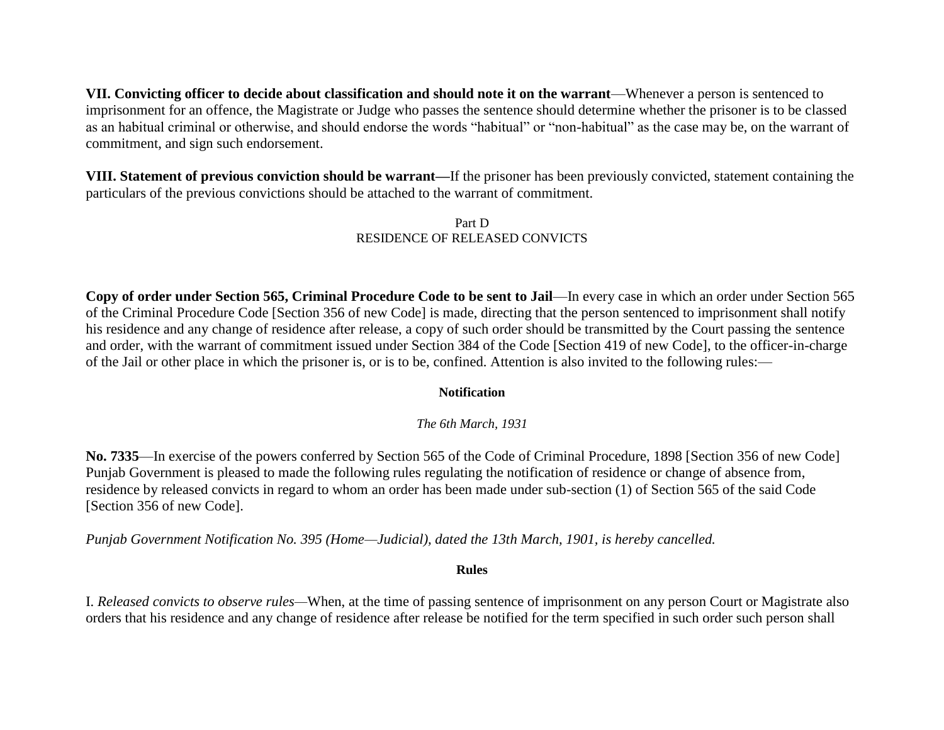**VII. Convicting officer to decide about classification and should note it on the warrant**—Whenever a person is sentenced to imprisonment for an offence, the Magistrate or Judge who passes the sentence should determine whether the prisoner is to be classed as an habitual criminal or otherwise, and should endorse the words "habitual" or "non-habitual" as the case may be, on the warrant of commitment, and sign such endorsement.

**VIII. Statement of previous conviction should be warrant—**If the prisoner has been previously convicted, statement containing the particulars of the previous convictions should be attached to the warrant of commitment.

#### Part D RESIDENCE OF RELEASED CONVICTS

**Copy of order under Section 565, Criminal Procedure Code to be sent to Jail**—In every case in which an order under Section 565 of the Criminal Procedure Code [Section 356 of new Code] is made, directing that the person sentenced to imprisonment shall notify his residence and any change of residence after release, a copy of such order should be transmitted by the Court passing the sentence and order, with the warrant of commitment issued under Section 384 of the Code [Section 419 of new Code], to the officer-in-charge of the Jail or other place in which the prisoner is, or is to be, confined. Attention is also invited to the following rules:—

### **Notification**

*The 6th March, 1931*

**No. 7335**—In exercise of the powers conferred by Section 565 of the Code of Criminal Procedure, 1898 [Section 356 of new Code] Punjab Government is pleased to made the following rules regulating the notification of residence or change of absence from, residence by released convicts in regard to whom an order has been made under sub-section (1) of Section 565 of the said Code [Section 356 of new Code].

*Punjab Government Notification No. 395 (Home—Judicial), dated the 13th March, 1901, is hereby cancelled.*

#### **Rules**

I. *Released convicts to observe rules—*When, at the time of passing sentence of imprisonment on any person Court or Magistrate also orders that his residence and any change of residence after release be notified for the term specified in such order such person shall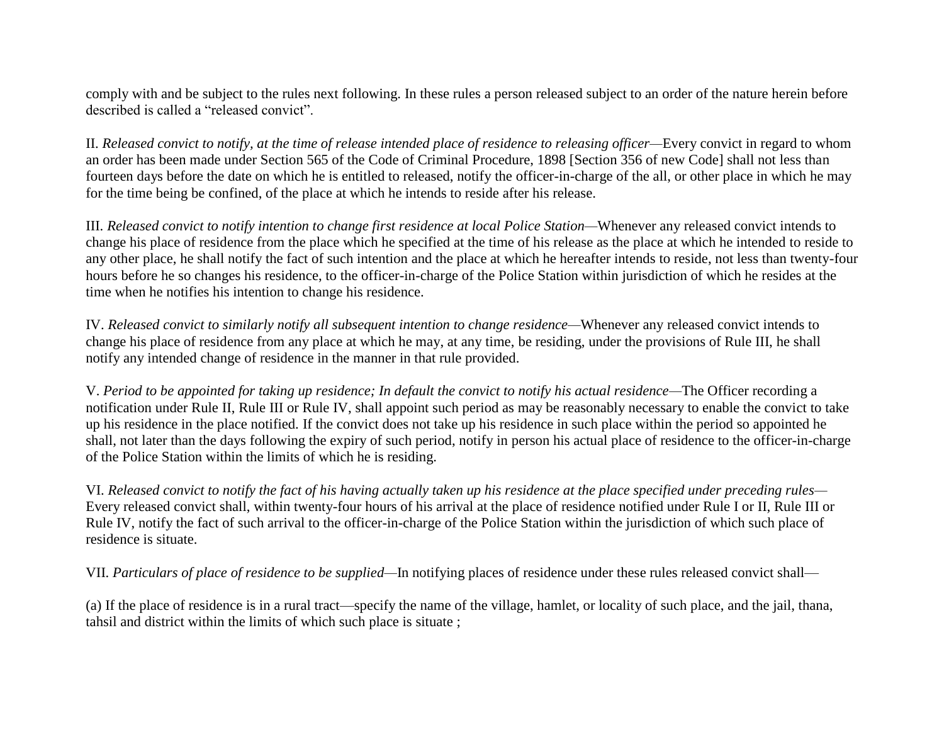comply with and be subject to the rules next following. In these rules a person released subject to an order of the nature herein before described is called a "released convict".

II. *Released convict to notify, at the time of release intended place of residence to releasing officer—*Every convict in regard to whom an order has been made under Section 565 of the Code of Criminal Procedure, 1898 [Section 356 of new Code] shall not less than fourteen days before the date on which he is entitled to released, notify the officer-in-charge of the all, or other place in which he may for the time being be confined, of the place at which he intends to reside after his release.

III. *Released convict to notify intention to change first residence at local Police Station—*Whenever any released convict intends to change his place of residence from the place which he specified at the time of his release as the place at which he intended to reside to any other place, he shall notify the fact of such intention and the place at which he hereafter intends to reside, not less than twenty-four hours before he so changes his residence, to the officer-in-charge of the Police Station within jurisdiction of which he resides at the time when he notifies his intention to change his residence.

IV. *Released convict to similarly notify all subsequent intention to change residence—*Whenever any released convict intends to change his place of residence from any place at which he may, at any time, be residing, under the provisions of Rule III, he shall notify any intended change of residence in the manner in that rule provided.

V. *Period to be appointed for taking up residence; In default the convict to notify his actual residence—*The Officer recording a notification under Rule II, Rule III or Rule IV, shall appoint such period as may be reasonably necessary to enable the convict to take up his residence in the place notified. If the convict does not take up his residence in such place within the period so appointed he shall, not later than the days following the expiry of such period, notify in person his actual place of residence to the officer-in-charge of the Police Station within the limits of which he is residing.

VI. *Released convict to notify the fact of his having actually taken up his residence at the place specified under preceding rules—* Every released convict shall, within twenty-four hours of his arrival at the place of residence notified under Rule I or II, Rule III or Rule IV, notify the fact of such arrival to the officer-in-charge of the Police Station within the jurisdiction of which such place of residence is situate.

VII. *Particulars of place of residence to be supplied—*In notifying places of residence under these rules released convict shall—

(a) If the place of residence is in a rural tract—specify the name of the village, hamlet, or locality of such place, and the jail, thana, tahsil and district within the limits of which such place is situate ;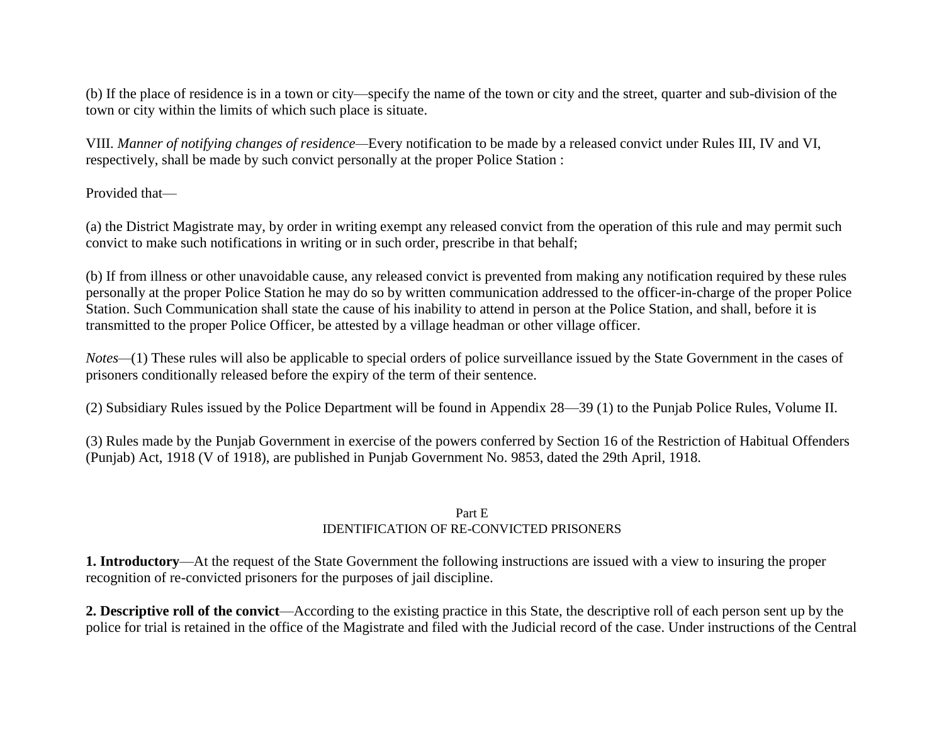(b) If the place of residence is in a town or city—specify the name of the town or city and the street, quarter and sub-division of the town or city within the limits of which such place is situate.

VIII. *Manner of notifying changes of residence—*Every notification to be made by a released convict under Rules III, IV and VI, respectively, shall be made by such convict personally at the proper Police Station :

### Provided that—

(a) the District Magistrate may, by order in writing exempt any released convict from the operation of this rule and may permit such convict to make such notifications in writing or in such order, prescribe in that behalf;

(b) If from illness or other unavoidable cause, any released convict is prevented from making any notification required by these rules personally at the proper Police Station he may do so by written communication addressed to the officer-in-charge of the proper Police Station. Such Communication shall state the cause of his inability to attend in person at the Police Station, and shall, before it is transmitted to the proper Police Officer, be attested by a village headman or other village officer.

*Notes—*(1) These rules will also be applicable to special orders of police surveillance issued by the State Government in the cases of prisoners conditionally released before the expiry of the term of their sentence.

(2) Subsidiary Rules issued by the Police Department will be found in Appendix 28—39 (1) to the Punjab Police Rules, Volume II.

(3) Rules made by the Punjab Government in exercise of the powers conferred by Section 16 of the Restriction of Habitual Offenders (Punjab) Act, 1918 (V of 1918), are published in Punjab Government No. 9853, dated the 29th April, 1918.

### Part E IDENTIFICATION OF RE-CONVICTED PRISONERS

**1. Introductory**—At the request of the State Government the following instructions are issued with a view to insuring the proper recognition of re-convicted prisoners for the purposes of jail discipline.

**2. Descriptive roll of the convict**—According to the existing practice in this State, the descriptive roll of each person sent up by the police for trial is retained in the office of the Magistrate and filed with the Judicial record of the case. Under instructions of the Central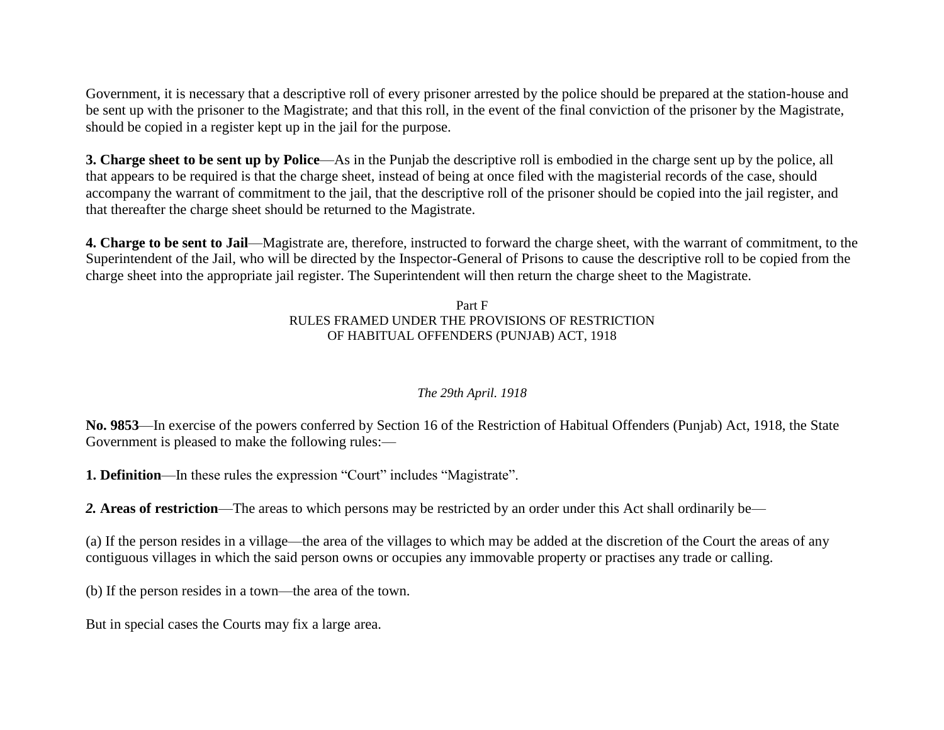Government, it is necessary that a descriptive roll of every prisoner arrested by the police should be prepared at the station-house and be sent up with the prisoner to the Magistrate; and that this roll, in the event of the final conviction of the prisoner by the Magistrate, should be copied in a register kept up in the jail for the purpose.

**3. Charge sheet to be sent up by Police**—As in the Punjab the descriptive roll is embodied in the charge sent up by the police, all that appears to be required is that the charge sheet, instead of being at once filed with the magisterial records of the case, should accompany the warrant of commitment to the jail, that the descriptive roll of the prisoner should be copied into the jail register, and that thereafter the charge sheet should be returned to the Magistrate.

**4. Charge to be sent to Jail**—Magistrate are, therefore, instructed to forward the charge sheet, with the warrant of commitment, to the Superintendent of the Jail, who will be directed by the Inspector-General of Prisons to cause the descriptive roll to be copied from the charge sheet into the appropriate jail register. The Superintendent will then return the charge sheet to the Magistrate.

### Part F RULES FRAMED UNDER THE PROVISIONS OF RESTRICTION OF HABITUAL OFFENDERS (PUNJAB) ACT, 1918

## *The 29th April. 1918*

**No. 9853**—In exercise of the powers conferred by Section 16 of the Restriction of Habitual Offenders (Punjab) Act, 1918, the State Government is pleased to make the following rules:—

**1. Definition—In these rules the expression "Court" includes "Magistrate".** 

*2.* **Areas of restriction**—The areas to which persons may be restricted by an order under this Act shall ordinarily be—

(a) If the person resides in a village—the area of the villages to which may be added at the discretion of the Court the areas of any contiguous villages in which the said person owns or occupies any immovable property or practises any trade or calling.

(b) If the person resides in a town—the area of the town.

But in special cases the Courts may fix a large area.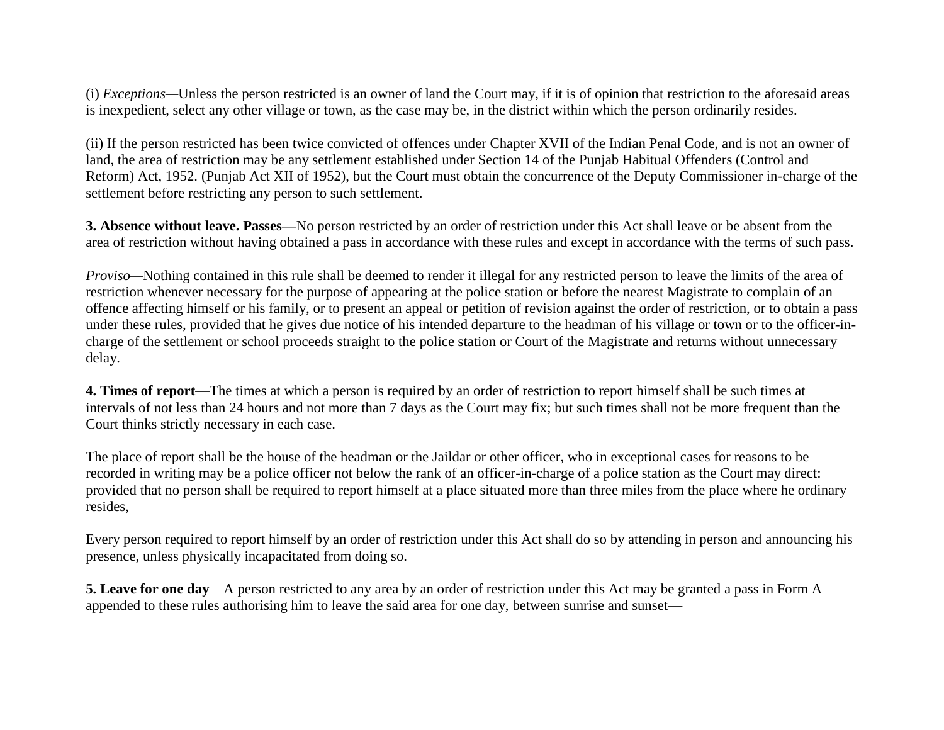(i) *Exceptions—*Unless the person restricted is an owner of land the Court may, if it is of opinion that restriction to the aforesaid areas is inexpedient, select any other village or town, as the case may be, in the district within which the person ordinarily resides.

(ii) If the person restricted has been twice convicted of offences under Chapter XVII of the Indian Penal Code, and is not an owner of land, the area of restriction may be any settlement established under Section 14 of the Punjab Habitual Offenders (Control and Reform) Act, 1952. (Punjab Act XII of 1952), but the Court must obtain the concurrence of the Deputy Commissioner in-charge of the settlement before restricting any person to such settlement.

**3. Absence without leave. Passes—**No person restricted by an order of restriction under this Act shall leave or be absent from the area of restriction without having obtained a pass in accordance with these rules and except in accordance with the terms of such pass.

*Proviso—*Nothing contained in this rule shall be deemed to render it illegal for any restricted person to leave the limits of the area of restriction whenever necessary for the purpose of appearing at the police station or before the nearest Magistrate to complain of an offence affecting himself or his family, or to present an appeal or petition of revision against the order of restriction, or to obtain a pass under these rules, provided that he gives due notice of his intended departure to the headman of his village or town or to the officer-incharge of the settlement or school proceeds straight to the police station or Court of the Magistrate and returns without unnecessary delay.

**4. Times of report**—The times at which a person is required by an order of restriction to report himself shall be such times at intervals of not less than 24 hours and not more than 7 days as the Court may fix; but such times shall not be more frequent than the Court thinks strictly necessary in each case.

The place of report shall be the house of the headman or the Jaildar or other officer, who in exceptional cases for reasons to be recorded in writing may be a police officer not below the rank of an officer-in-charge of a police station as the Court may direct: provided that no person shall be required to report himself at a place situated more than three miles from the place where he ordinary resides,

Every person required to report himself by an order of restriction under this Act shall do so by attending in person and announcing his presence, unless physically incapacitated from doing so.

**5. Leave for one day**—A person restricted to any area by an order of restriction under this Act may be granted a pass in Form A appended to these rules authorising him to leave the said area for one day, between sunrise and sunset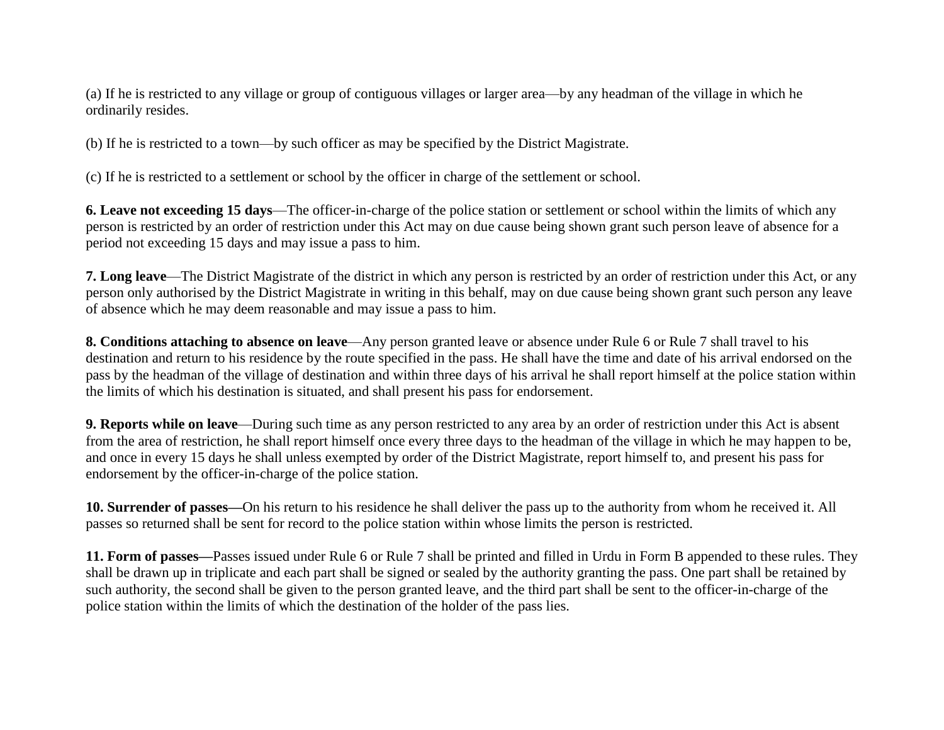(a) If he is restricted to any village or group of contiguous villages or larger area—by any headman of the village in which he ordinarily resides.

(b) If he is restricted to a town—by such officer as may be specified by the District Magistrate.

(c) If he is restricted to a settlement or school by the officer in charge of the settlement or school.

**6. Leave not exceeding 15 days**—The officer-in-charge of the police station or settlement or school within the limits of which any person is restricted by an order of restriction under this Act may on due cause being shown grant such person leave of absence for a period not exceeding 15 days and may issue a pass to him.

**7. Long leave**—The District Magistrate of the district in which any person is restricted by an order of restriction under this Act, or any person only authorised by the District Magistrate in writing in this behalf, may on due cause being shown grant such person any leave of absence which he may deem reasonable and may issue a pass to him.

**8. Conditions attaching to absence on leave**—Any person granted leave or absence under Rule 6 or Rule 7 shall travel to his destination and return to his residence by the route specified in the pass. He shall have the time and date of his arrival endorsed on the pass by the headman of the village of destination and within three days of his arrival he shall report himself at the police station within the limits of which his destination is situated, and shall present his pass for endorsement.

**9. Reports while on leave—During such time as any person restricted to any area by an order of restriction under this Act is absent** from the area of restriction, he shall report himself once every three days to the headman of the village in which he may happen to be, and once in every 15 days he shall unless exempted by order of the District Magistrate, report himself to, and present his pass for endorsement by the officer-in-charge of the police station.

**10. Surrender of passes—**On his return to his residence he shall deliver the pass up to the authority from whom he received it. All passes so returned shall be sent for record to the police station within whose limits the person is restricted.

**11. Form of passes—**Passes issued under Rule 6 or Rule 7 shall be printed and filled in Urdu in Form B appended to these rules. They shall be drawn up in triplicate and each part shall be signed or sealed by the authority granting the pass. One part shall be retained by such authority, the second shall be given to the person granted leave, and the third part shall be sent to the officer-in-charge of the police station within the limits of which the destination of the holder of the pass lies.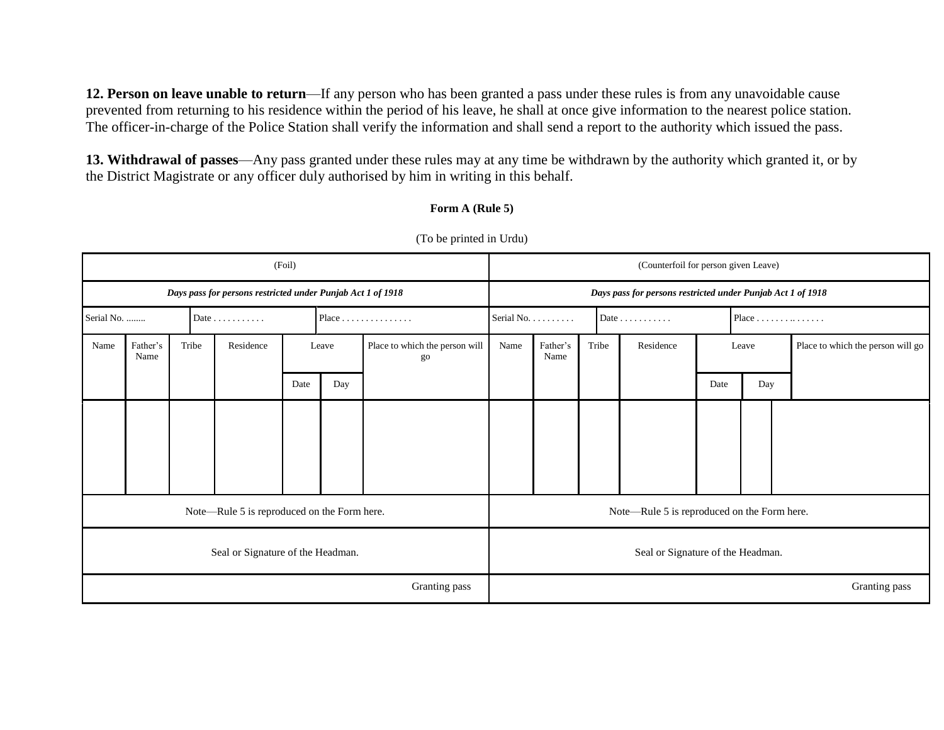**12. Person on leave unable to return**—If any person who has been granted a pass under these rules is from any unavoidable cause prevented from returning to his residence within the period of his leave, he shall at once give information to the nearest police station. The officer-in-charge of the Police Station shall verify the information and shall send a report to the authority which issued the pass.

**13. Withdrawal of passes**—Any pass granted under these rules may at any time be withdrawn by the authority which granted it, or by the District Magistrate or any officer duly authorised by him in writing in this behalf.

#### **Form A (Rule 5)**

| (Foil)                                      |                  |                                                             |  |               |               |                                                             |                                       |                                   | (Counterfoil for person given Leave)        |  |       |               |               |                                   |                                   |  |  |  |
|---------------------------------------------|------------------|-------------------------------------------------------------|--|---------------|---------------|-------------------------------------------------------------|---------------------------------------|-----------------------------------|---------------------------------------------|--|-------|---------------|---------------|-----------------------------------|-----------------------------------|--|--|--|
|                                             |                  | Days pass for persons restricted under Punjab Act 1 of 1918 |  |               |               | Days pass for persons restricted under Punjab Act 1 of 1918 |                                       |                                   |                                             |  |       |               |               |                                   |                                   |  |  |  |
| Serial No.                                  |                  |                                                             |  | Date $\ldots$ |               |                                                             | $Place \dots \dots \dots \dots \dots$ |                                   | Serial No.                                  |  |       | Date $\ldots$ |               | Place $\dots\dots\dots\dots\dots$ |                                   |  |  |  |
| Name                                        | Father's<br>Name | Tribe                                                       |  | Residence     | Leave         |                                                             | Place to which the person will<br>go  |                                   | Father's<br>Name                            |  | Tribe | Residence     | Leave         |                                   | Place to which the person will go |  |  |  |
|                                             |                  |                                                             |  |               | Date          | Day                                                         |                                       |                                   |                                             |  |       |               | Date          | Day                               |                                   |  |  |  |
|                                             |                  |                                                             |  |               |               |                                                             |                                       |                                   |                                             |  |       |               |               |                                   |                                   |  |  |  |
|                                             |                  |                                                             |  |               |               |                                                             |                                       |                                   |                                             |  |       |               |               |                                   |                                   |  |  |  |
| Note—Rule 5 is reproduced on the Form here. |                  |                                                             |  |               |               |                                                             |                                       |                                   | Note—Rule 5 is reproduced on the Form here. |  |       |               |               |                                   |                                   |  |  |  |
| Seal or Signature of the Headman.           |                  |                                                             |  |               |               |                                                             |                                       | Seal or Signature of the Headman. |                                             |  |       |               |               |                                   |                                   |  |  |  |
|                                             |                  |                                                             |  |               | Granting pass |                                                             |                                       |                                   |                                             |  |       |               | Granting pass |                                   |                                   |  |  |  |

(To be printed in Urdu)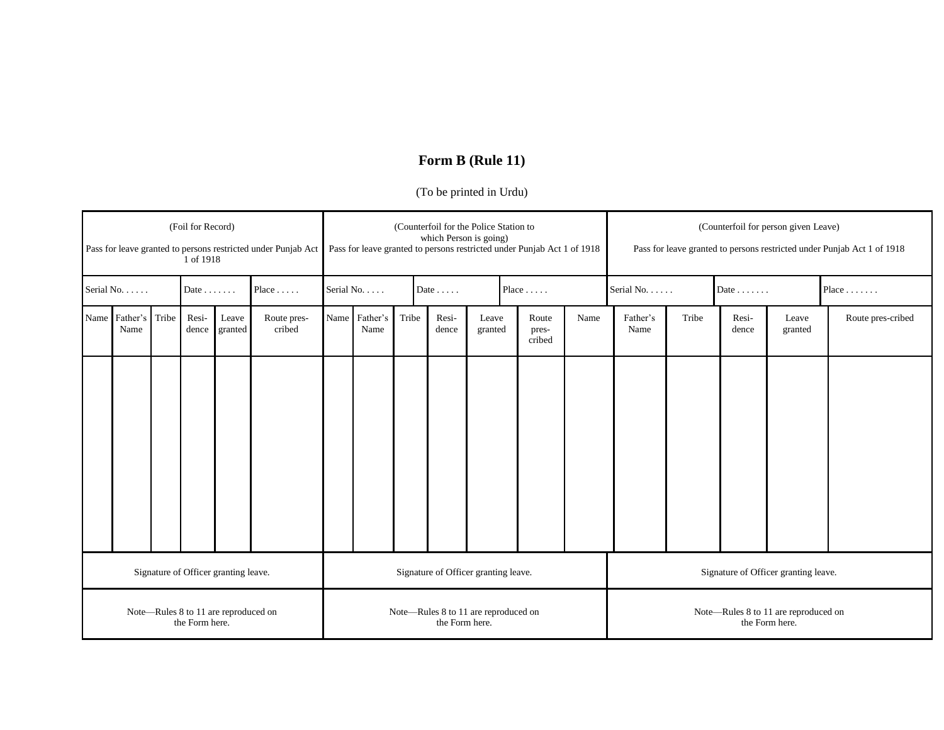# **Form B (Rule 11)**

### (To be printed in Urdu)

| (Foil for Record)<br>Pass for leave granted to persons restricted under Punjab Act<br>1 of 1918 |                       |       |                |                  |                       | (Counterfoil for the Police Station to<br>which Person is going)<br>Pass for leave granted to persons restricted under Punjab Act 1 of 1918 |                       |                 |                |                  |  |                          |      | (Counterfoil for person given Leave)<br>Pass for leave granted to persons restricted under Punjab Act 1 of 1918 |       |                |                  |                   |
|-------------------------------------------------------------------------------------------------|-----------------------|-------|----------------|------------------|-----------------------|---------------------------------------------------------------------------------------------------------------------------------------------|-----------------------|-----------------|----------------|------------------|--|--------------------------|------|-----------------------------------------------------------------------------------------------------------------|-------|----------------|------------------|-------------------|
|                                                                                                 | Serial No.            |       | Date $\ldots$  |                  | Place                 | Serial No.                                                                                                                                  |                       | Date $\ldots$ . |                |                  |  | Place $\dots$ .          |      | Serial No.                                                                                                      |       | Date $\ldots$  |                  | Place $\ldots$    |
|                                                                                                 | Name Father's<br>Name | Tribe | Resi-<br>dence | Leave<br>granted | Route pres-<br>cribed |                                                                                                                                             | Name Father's<br>Name | Tribe           | Resi-<br>dence | Leave<br>granted |  | Route<br>pres-<br>cribed | Name | Father's<br>Name                                                                                                | Tribe | Resi-<br>dence | Leave<br>granted | Route pres-cribed |
|                                                                                                 |                       |       |                |                  |                       |                                                                                                                                             |                       |                 |                |                  |  |                          |      |                                                                                                                 |       |                |                  |                   |
| Signature of Officer granting leave.                                                            |                       |       |                |                  |                       | Signature of Officer granting leave.                                                                                                        |                       |                 |                |                  |  |                          |      | Signature of Officer granting leave.                                                                            |       |                |                  |                   |
| Note-Rules 8 to 11 are reproduced on<br>the Form here.                                          |                       |       |                |                  |                       | Note-Rules 8 to 11 are reproduced on<br>the Form here.                                                                                      |                       |                 |                |                  |  |                          |      | Note-Rules 8 to 11 are reproduced on<br>the Form here.                                                          |       |                |                  |                   |